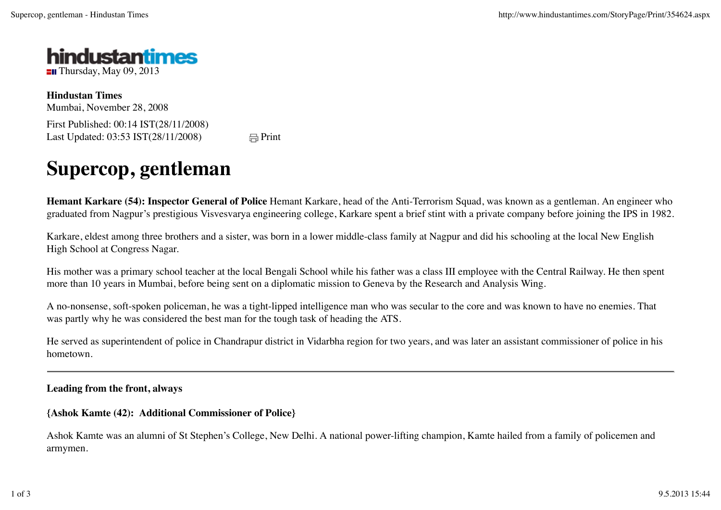

**Hindustan Times** Mumbai, November 28, 2008 First Published: 00:14 IST(28/11/2008) Last Updated:  $03:53 \text{ IST}(28/11/2008)$   $\qquad \qquad \qquad \qquad \Box \text{Print}$ 

## **Supercop, gentleman**

**Hemant Karkare (54): Inspector General of Police** Hemant Karkare, head of the Anti-Terrorism Squad, was known as a gentleman. An engineer who graduated from Nagpur's prestigious Visvesvarya engineering college, Karkare spent a brief stint with a private company before joining the IPS in 1982.

Karkare, eldest among three brothers and a sister, was born in a lower middle-class family at Nagpur and did his schooling at the local New English High School at Congress Nagar.

His mother was a primary school teacher at the local Bengali School while his father was a class III employee with the Central Railway. He then spent more than 10 years in Mumbai, before being sent on a diplomatic mission to Geneva by the Research and Analysis Wing.

A no-nonsense, soft-spoken policeman, he was a tight-lipped intelligence man who was secular to the core and was known to have no enemies. That was partly why he was considered the best man for the tough task of heading the ATS.

He served as superintendent of police in Chandrapur district in Vidarbha region for two years, and was later an assistant commissioner of police in his hometown.

## **Leading from the front, always**

**{Ashok Kamte (42): Additional Commissioner of Police}**

Ashok Kamte was an alumni of St Stephen's College, New Delhi. A national power-lifting champion, Kamte hailed from a family of policemen and armymen.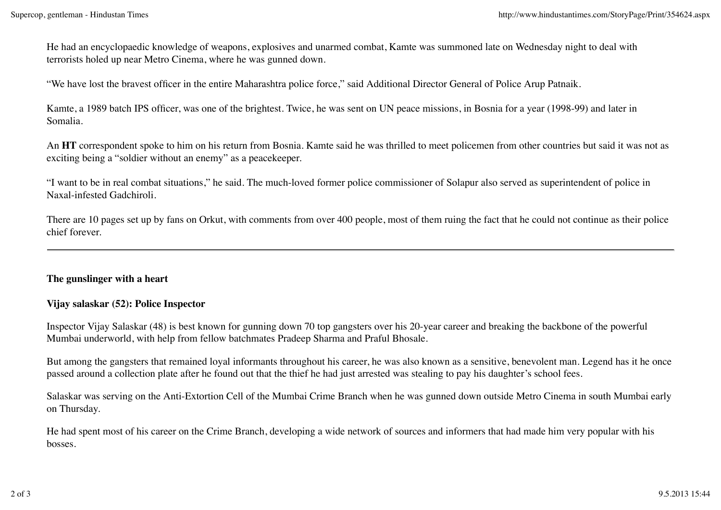He had an encyclopaedic knowledge of weapons, explosives and unarmed combat, Kamte was summoned late on Wednesday night to deal with terrorists holed up near Metro Cinema, where he was gunned down.

"We have lost the bravest officer in the entire Maharashtra police force," said Additional Director General of Police Arup Patnaik.

Kamte, a 1989 batch IPS officer, was one of the brightest. Twice, he was sent on UN peace missions, in Bosnia for a year (1998-99) and later in Somalia.

An **HT** correspondent spoke to him on his return from Bosnia. Kamte said he was thrilled to meet policemen from other countries but said it was not as exciting being a "soldier without an enemy" as a peacekeeper.

"I want to be in real combat situations," he said. The much-loved former police commissioner of Solapur also served as superintendent of police in Naxal-infested Gadchiroli.

There are 10 pages set up by fans on Orkut, with comments from over 400 people, most of them ruing the fact that he could not continue as their police chief forever.

## **The gunslinger with a heart**

## **Vijay salaskar (52): Police Inspector**

Inspector Vijay Salaskar (48) is best known for gunning down 70 top gangsters over his 20-year career and breaking the backbone of the powerful Mumbai underworld, with help from fellow batchmates Pradeep Sharma and Praful Bhosale.

But among the gangsters that remained loyal informants throughout his career, he was also known as a sensitive, benevolent man. Legend has it he once passed around a collection plate after he found out that the thief he had just arrested was stealing to pay his daughter's school fees.

Salaskar was serving on the Anti-Extortion Cell of the Mumbai Crime Branch when he was gunned down outside Metro Cinema in south Mumbai early on Thursday.

He had spent most of his career on the Crime Branch, developing a wide network of sources and informers that had made him very popular with his bosses.